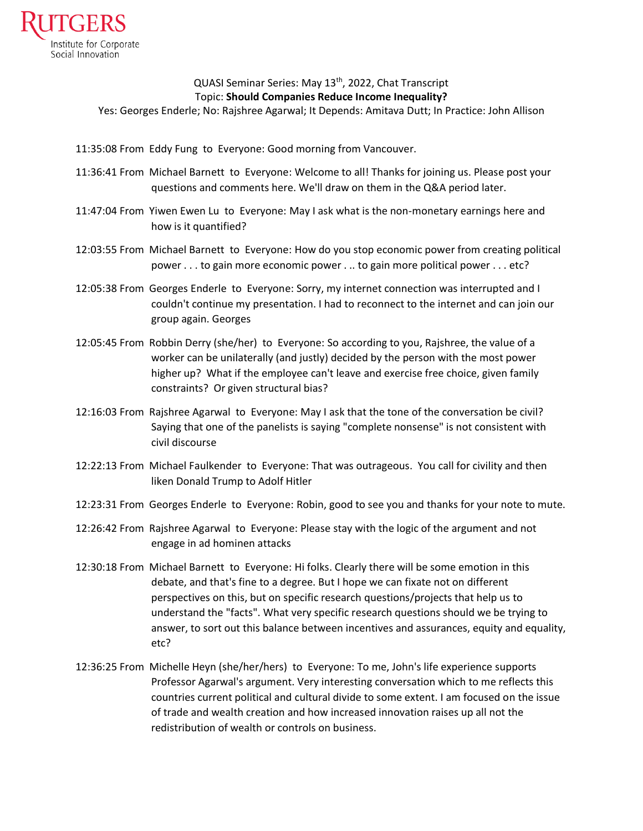

## QUASI Seminar Series: May 13<sup>th</sup>, 2022, Chat Transcript Topic: **Should Companies Reduce Income Inequality?**

Yes: Georges Enderle; No: Rajshree Agarwal; It Depends: Amitava Dutt; In Practice: John Allison

- 11:35:08 From Eddy Fung to Everyone: Good morning from Vancouver.
- 11:36:41 From Michael Barnett to Everyone: Welcome to all! Thanks for joining us. Please post your questions and comments here. We'll draw on them in the Q&A period later.
- 11:47:04 From Yiwen Ewen Lu to Everyone: May I ask what is the non-monetary earnings here and how is it quantified?
- 12:03:55 From Michael Barnett to Everyone: How do you stop economic power from creating political power . . . to gain more economic power . .. to gain more political power . . . etc?
- 12:05:38 From Georges Enderle to Everyone: Sorry, my internet connection was interrupted and I couldn't continue my presentation. I had to reconnect to the internet and can join our group again. Georges
- 12:05:45 From Robbin Derry (she/her) to Everyone: So according to you, Rajshree, the value of a worker can be unilaterally (and justly) decided by the person with the most power higher up? What if the employee can't leave and exercise free choice, given family constraints? Or given structural bias?
- 12:16:03 From Rajshree Agarwal to Everyone: May I ask that the tone of the conversation be civil? Saying that one of the panelists is saying "complete nonsense" is not consistent with civil discourse
- 12:22:13 From Michael Faulkender to Everyone: That was outrageous. You call for civility and then liken Donald Trump to Adolf Hitler
- 12:23:31 From Georges Enderle to Everyone: Robin, good to see you and thanks for your note to mute.
- 12:26:42 From Rajshree Agarwal to Everyone: Please stay with the logic of the argument and not engage in ad hominen attacks
- 12:30:18 From Michael Barnett to Everyone: Hi folks. Clearly there will be some emotion in this debate, and that's fine to a degree. But I hope we can fixate not on different perspectives on this, but on specific research questions/projects that help us to understand the "facts". What very specific research questions should we be trying to answer, to sort out this balance between incentives and assurances, equity and equality, etc?
- 12:36:25 From Michelle Heyn (she/her/hers) to Everyone: To me, John's life experience supports Professor Agarwal's argument. Very interesting conversation which to me reflects this countries current political and cultural divide to some extent. I am focused on the issue of trade and wealth creation and how increased innovation raises up all not the redistribution of wealth or controls on business.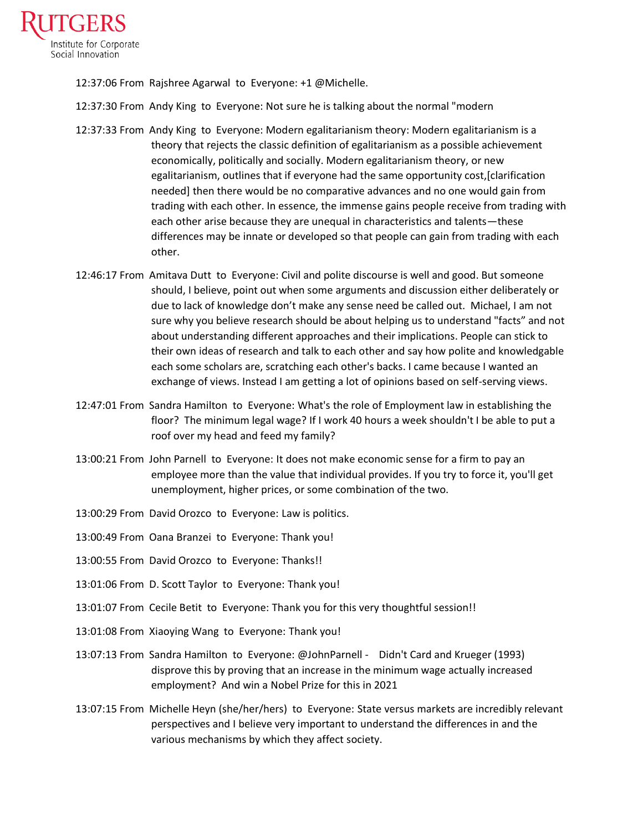

12:37:06 From Rajshree Agarwal to Everyone: +1 @Michelle.

- 12:37:30 From Andy King to Everyone: Not sure he is talking about the normal "modern
- 12:37:33 From Andy King to Everyone: Modern egalitarianism theory: Modern egalitarianism is a theory that rejects the classic definition of egalitarianism as a possible achievement economically, politically and socially. Modern egalitarianism theory, or new egalitarianism, outlines that if everyone had the same opportunity cost,[clarification needed] then there would be no comparative advances and no one would gain from trading with each other. In essence, the immense gains people receive from trading with each other arise because they are unequal in characteristics and talents—these differences may be innate or developed so that people can gain from trading with each other.
- 12:46:17 From Amitava Dutt to Everyone: Civil and polite discourse is well and good. But someone should, I believe, point out when some arguments and discussion either deliberately or due to lack of knowledge don't make any sense need be called out. Michael, I am not sure why you believe research should be about helping us to understand "facts" and not about understanding different approaches and their implications. People can stick to their own ideas of research and talk to each other and say how polite and knowledgable each some scholars are, scratching each other's backs. I came because I wanted an exchange of views. Instead I am getting a lot of opinions based on self-serving views.
- 12:47:01 From Sandra Hamilton to Everyone: What's the role of Employment law in establishing the floor? The minimum legal wage? If I work 40 hours a week shouldn't I be able to put a roof over my head and feed my family?
- 13:00:21 From John Parnell to Everyone: It does not make economic sense for a firm to pay an employee more than the value that individual provides. If you try to force it, you'll get unemployment, higher prices, or some combination of the two.
- 13:00:29 From David Orozco to Everyone: Law is politics.
- 13:00:49 From Oana Branzei to Everyone: Thank you!
- 13:00:55 From David Orozco to Everyone: Thanks!!
- 13:01:06 From D. Scott Taylor to Everyone: Thank you!
- 13:01:07 From Cecile Betit to Everyone: Thank you for this very thoughtful session!!
- 13:01:08 From Xiaoying Wang to Everyone: Thank you!
- 13:07:13 From Sandra Hamilton to Everyone: @JohnParnell Didn't Card and Krueger (1993) disprove this by proving that an increase in the minimum wage actually increased employment? And win a Nobel Prize for this in 2021
- 13:07:15 From Michelle Heyn (she/her/hers) to Everyone: State versus markets are incredibly relevant perspectives and I believe very important to understand the differences in and the various mechanisms by which they affect society.